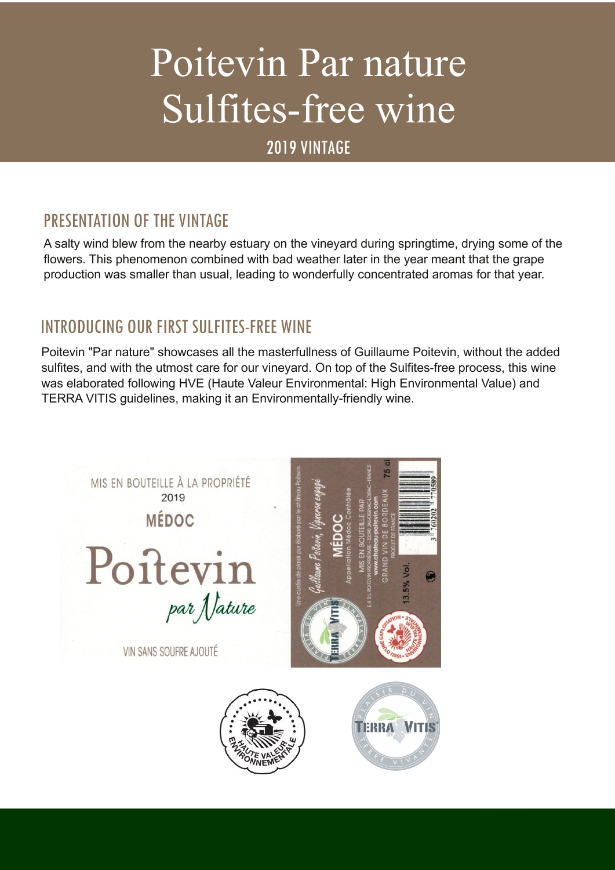# Poitevin Par nature Sulfites-free wine

2019 VINTAGE

# PRESENTATION OF THE VINTAGE

A salty wind blew from the nearby estuary on the vineyard during springtime, drying some of the flowers. This phenomenon combined with bad weather later in the year meant that the grape production was smaller than usual, leading to wonderfully concentrated aromas for that year.

## INTRODUCING OUR FIRST SULFITES-FREE WINE

Poitevin "Par nature" showcases all the masterfullness of Guillaume Poitevin, without the added sulfites, and with the utmost care for our vineyard. On top of the Sulfites-free process, this wine was elaborated following HVE (Haute Valeur Environmental: High Environmental Value) and TERRA VITIS guidelines, making it an Environmentally-friendly wine.